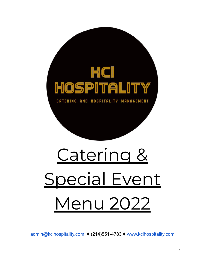

[admin@kcihospitality.com](mailto:admin@kcihospitality.com) ⧫ (214)551-4783 ⧫ [www.kcihospitality.com](http://www.kcihospitality.com)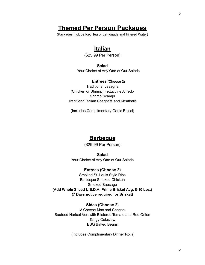# **Themed Per Person Packages**

(Packages Include Iced Tea or Lemonade and Filtered Water)

# **Italian**

(\$25.99 Per Person)

**Salad** Your Choice of Any One of Our Salads

#### **Entrees (Choose 2)**

Traditional Lasagna (Chicken or Shrimp) Fettuccine Alfredo Shrimp Scampi Traditional Italian Spaghetti and Meatballs

(Includes Complimentary Garlic Bread)

### **Barbeque**

(\$29.99 Per Person)

**Salad** Your Choice of Any One of Our Salads

**Entrees (Choose 2)** Smoked St. Louis Style Ribs Barbeque Smoked Chicken Smoked Sausage **(Add Whole Sliced U.S.D.A. Prime Brisket Avg. 8-10 Lbs.) (7 Days notice required for Brisket)**

#### **Sides (Choose 2)**

3 Cheese Mac and Cheese Sauteed Haricot Vert with Blistered Tomato and Red Onion Tangy Coleslaw BBQ Baked Beans

(Includes Complimentary Dinner Rolls)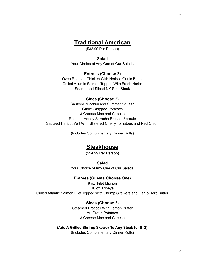### **Traditional American**

(\$32.99 Per Person)

#### **Salad**

Your Choice of Any One of Our Salads

#### **Entrees (Choose 2)**

Oven Roasted Chicken With Herbed Garlic Butter Grilled Atlantic Salmon Topped With Fresh Herbs Seared and Sliced NY Strip Steak

#### **Sides (Choose 2)**

Sauteed Zucchini and Summer Squash Garlic Whipped Potatoes 3 Cheese Mac and Cheese Roasted Honey Sriracha Brussel Sprouts Sauteed Haricot Vert With Blistered Cherry Tomatoes and Red Onion

(Includes Complimentary Dinner Rolls)

### **Steakhouse**

(\$54.99 Per Person)

**Salad** Your Choice of Any One of Our Salads

#### **Entrees (Guests Choose One)**

8 oz Filet Mignon 10 oz. Ribeye Grilled Atlantic Salmon Filet Topped With Shrimp Skewers and Garlic-Herb Butter

#### **Sides (Choose 2)**

Steamed Broccoli With Lemon Butter Au Gratin Potatoes 3 Cheese Mac and Cheese

**(Add A Grilled Shrimp Skewer To Any Steak for \$12)** (Includes Complimentary Dinner Rolls)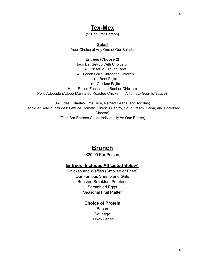# **Tex-Mex**

(\$26.99 Per Person)

#### **Salad**

Your Choice of Any One of Our Salads

#### **Entrees (Choose 2)**

Taco Bar Set-up With Choice of:

- Picadillo Ground Beef
- Green Chile Shredded Chicken
	- Beef Fajita
	- Chicken Fajita

Hand-Rolled Enchiladas (Beef or Chicken)

Pollo Adobado (Adobo-Marinated Roasted Chicken In A Tomato-Guajillo Sauce)

(Includes: Cilantro-Lime Rice, Refried Beans, and Tortillas) (Taco-Bar Set-up Includes: Lettuce, Tomato, Onion, Cilantro, Sour Cream, Salsa, and Shredded Cheese) (Taco Bar Entrees Count Individually As One Entree)

# **Brunch**

#### (\$20.99 Per Person)

#### **Entrees (Includes All Listed Below)**

Chicken and Waffles (Smoked or Fried) Our Famous Shrimp and Grits Roasted Breakfast Potatoes Scrambled Eggs Seasonal Fruit Platter

### **Choice of Protein**

Bacon Sausage Turkey Bacon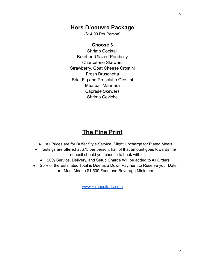5

### **Hors D'oeuvre Package**

(\$14.99 Per Person)

#### **Choose 3**

Shrimp Cocktail Bourbon-Glazed Porkbelly Charcuterie Skewers Strawberry, Goat Cheese Crostini Fresh Bruschetta Brie, Fig and Prosciutto Crostini Meatball Marinara Caprese Skewers Shrimp Ceviche

### **The Fine Print**

- All Prices are for Buffet Style Service, Slight Upcharge for Plated Meals
- Tastings are offered at \$75 per person, half of that amount goes towards the deposit should you choose to book with us.
	- 20% Service, Delivery, and Setup Charge Will be added to All Orders.
- 25% of the Estimated Total is Due as a Down Payment to Reserve your Date.
	- Must Meet a \$1,500 Food and Beverage Minimum

[www.kcihospitality.com](http://www.kcihospitality.com)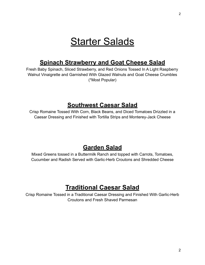# **Starter Salads**

# **Spinach Strawberry and Goat Cheese Salad**

Fresh Baby Spinach, Sliced Strawberry, and Red Onions Tossed In A Light Raspberry Walnut Vinaigrette and Garnished With Glazed Walnuts and Goat Cheese Crumbles (\*Most Popular)

# **Southwest Caesar Salad**

Crisp Romaine Tossed With Corn, Black Beans, and Diced Tomatoes Drizzled in a Caesar Dressing and Finished with Tortilla Strips and Monterey-Jack Cheese

# **Garden Salad**

Mixed Greens tossed in a Buttermilk Ranch and topped with Carrots, Tomatoes, Cucumber and Radish Served with Garlic-Herb Croutons and Shredded Cheese

# **Traditional Caesar Salad**

Crisp Romaine Tossed in a Traditional Caesar Dressing and Finished With Garlic-Herb Croutons and Fresh Shaved Parmesan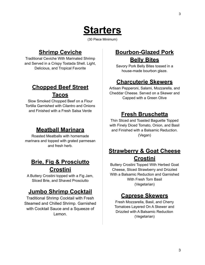

(30 Piece Minimum)

# **Shrimp Ceviche**

Traditional Ceviche With Marinated Shrimp and Served in a Crispy Tostada Shell. Light, Delicious, and Tropical Favorite

# **Chopped Beef Street Tacos**

Slow Smoked Chopped Beef on a Flour Tortilla Garnished with Cilantro and Onions and Finished with a Fresh Salsa Verde

# **Meatball Marinara**

Roasted Meatballs with homemade marinara and topped with grated parmesan and fresh herb.

# **Brie, Fig & Prosciutto Crostini**

A Buttery Crostini topped with a Fig Jam, Sliced Brie, and Shaved Prosciutto

# **Jumbo Shrimp Cocktail**

Traditional Shrimp Cocktail with Fresh Steamed and Chilled Shrimp. Garnished with Cocktail Sauce and a Squeeze of Lemon.

# **Bourbon-Glazed Pork Belly Bites**

Savory Pork Belly Bites tossed in a house-made bourbon glaze.

# **Charcuterie Skewers**

Artisan Pepperoni, Salami, Mozzarella, and Cheddar Cheese. Served on a Skewer and Capped with a Green Olive

# **Fresh Bruschetta**

Thin Sliced and Toasted Baguette Topped with Finely Diced Tomato, Onion, and Basil and Finished with a Balsamic Reduction. (Vegan)

# **Strawberry & Goat Cheese Crostini**

Buttery Crostini Topped With Herbed Goat Cheese, Sliced Strawberry and Drizzled With a Balsamic Reduction and Garnished With Fresh Torn Basil (Vegetarian)

# **Caprese Skewers**

Fresh Mozzarella, Basil, and Cherry Tomatoes Layered On A Skewer and Drizzled with A Balsamic Reduction (Vegetarian)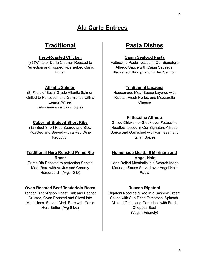# **Ala Carte Entrees**

### **Traditional**

#### **Herb-Roasted Chicken**

(8) (White or Dark) Chicken Roasted to Perfection and Topped with herbed Garlic Butter.

#### **Atlantic Salmon**

(8) Filets of Sushi Grade Atlantic Salmon Grilled to Perfection and Garnished with a Lemon Wheel (Also Available Cajun Style)

#### **Cabernet Braised Short Ribs**

(12) Beef Short Ribs Seared and Slow Roasted and Served with a Red Wine Reduction

#### **Traditional Herb Roasted Prime Rib Roast**

Prime Rib Roasted to perfection Served Med. Rare with Au Jus and Creamy Horseradish (Avg. 10 lb)

#### **Oven Roasted Beef Tenderloin Roast**

Tender Filet Mignon Roast, Salt and Pepper Crusted, Oven Roasted and Sliced into Medallions. Served Med. Rare with Garlic Herb Butter (Avg 5 lbs)

# **Pasta Dishes**

#### **Cajun Seafood Pasta**

Fettuccine Pasta Tossed in Our Signature Alfredo Sauce with Cajun Sausage, Blackened Shrimp, and Grilled Salmon.

#### **Traditional Lasagna**

Housemade Meat Sauce Layered with Ricotta, Fresh Herbs, and Mozzarella Cheese

#### **Fettuccine Alfredo**

Grilled Chicken or Steak over Fettuccine Noodles Tossed in Our Signature Alfredo Sauce and Garnished with Parmesan and Italian Spices

#### **Homemade Meatball Marinara and Angel Hair**

Hand Rolled Meatballs in a Scratch-Made Marinara Sauce Served over Angel Hair Pasta

#### **Tuscan Rigatoni**

Rigatoni Noodles Mixed in a Cashew Cream Sauce with Sun-Dried Tomatoes, Spinach, Minced Garlic and Garnished with Fresh Chopped Basil (Vegan Friendly)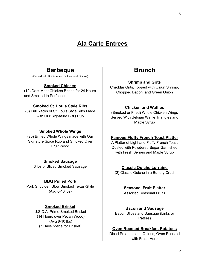# **Ala Carte Entrees**

### **Barbeque**

(Served with BBQ Sauce, Pickles, and Onions)

#### **Smoked Chicken**

(12) Dark Meat Chicken Brined for 24 Hours and Smoked to Perfection.

#### **Smoked St. Louis Style Ribs**

(3) Full Racks of St. Louis Style Ribs Made with Our Signature BBQ Rub

#### **Smoked Whole Wings**

(25) Brined Whole Wings made with Our Signature Spice Rub and Smoked Over Fruit Wood

#### **Smoked Sausage**

3 lbs of Sliced Smoked Sausage

#### **BBQ Pulled Pork**

Pork Shoulder, Slow Smoked Texas-Style (Avg 8-10 lbs)

#### **Smoked Brisket**

U.S.D.A. Prime Smoked Brisket (14 Hours over Pecan Wood) (Avg 8-10 lbs) (7 Days notice for Brisket)



#### **Shrimp and Grits**

Cheddar Grits, Topped with Cajun Shrimp, Chopped Bacon, and Green Onion

#### **Chicken and Waffles**

(Smoked or Fried) Whole Chicken Wings Served With Belgian Waffle Triangles and Maple Syrup

#### **Famous Fluffy French Toast Platter**

A Platter of Light and Fluffy French Toast Dusted with Powdered Sugar Garnished with Fresh Berries and Maple Syrup

#### **Classic Quiche Lorraine**

(2) Classic Quiche in a Buttery Crust

**Seasonal Fruit Platter**

Assorted Seasonal Fruits

#### **Bacon and Sausage**

Bacon Slices and Sausage (Links or Patties)

#### **Oven Roasted Breakfast Potatoes**

Diced Potatoes and Onions, Oven Roasted with Fresh Herb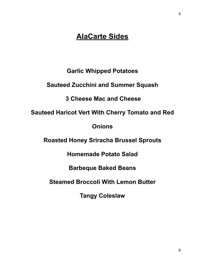# **AlaCarte Sides**

**Garlic Whipped Potatoes**

**Sauteed Zucchini and Summer Squash**

**3 Cheese Mac and Cheese**

**Sauteed Haricot Vert With Cherry Tomato and Red**

**Onions**

**Roasted Honey Sriracha Brussel Sprouts**

**Homemade Potato Salad**

**Barbeque Baked Beans**

**Steamed Broccoli With Lemon Butter**

**Tangy Coleslaw**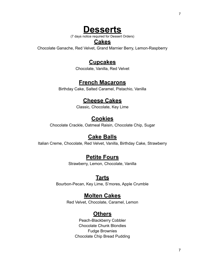# **Desserts**

(7 days notice required for Dessert Orders)

### **Cakes**

Chocolate Ganache, Red Velvet, Grand Marnier Berry, Lemon-Raspberry

# **Cupcakes**

Chocolate, Vanilla, Red Velvet

# **French Macarons**

Birthday Cake, Salted Caramel, Pistachio, Vanilla

### **Cheese Cakes**

Classic, Chocolate, Key Lime

# **Cookies**

Chocolate Crackle, Oatmeal Raisin, Chocolate Chip, Sugar

# **Cake Balls**

Italian Creme, Chocolate, Red Velvet, Vanilla, Birthday Cake, Strawberry

### **Petite Fours**

Strawberry, Lemon, Chocolate, Vanilla

### **Tarts**

Bourbon-Pecan, Key Lime, S'mores, Apple Crumble

### **Molten Cakes**

Red Velvet, Chocolate, Caramel, Lemon

# **Others**

Peach-Blackberry Cobbler Chocolate Chunk Blondies Fudge Brownies Chocolate Chip Bread Pudding